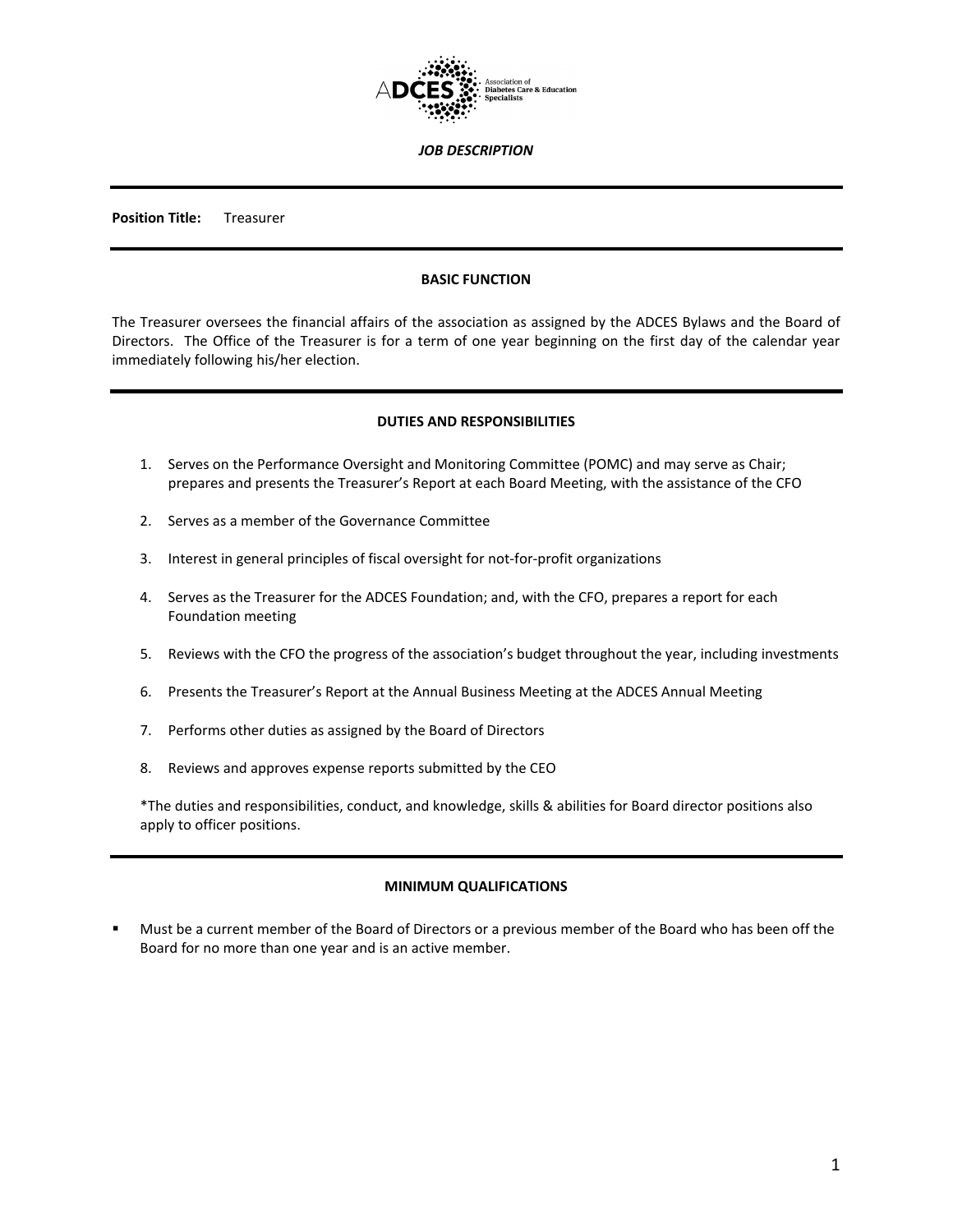

*JOB DESCRIPTION*

**Position Title:** Treasurer

#### **BASIC FUNCTION**

The Treasurer oversees the financial affairs of the association as assigned by the ADCES Bylaws and the Board of Directors. The Office of the Treasurer is for a term of one year beginning on the first day of the calendar year immediately following his/her election.

#### **DUTIES AND RESPONSIBILITIES**

- 1. Serves on the Performance Oversight and Monitoring Committee (POMC) and may serve as Chair; prepares and presents the Treasurer's Report at each Board Meeting, with the assistance of the CFO
- 2. Serves as a member of the Governance Committee
- 3. Interest in general principles of fiscal oversight for not-for-profit organizations
- 4. Serves as the Treasurer for the ADCES Foundation; and, with the CFO, prepares a report for each Foundation meeting
- 5. Reviews with the CFO the progress of the association's budget throughout the year, including investments
- 6. Presents the Treasurer's Report at the Annual Business Meeting at the ADCES Annual Meeting
- 7. Performs other duties as assigned by the Board of Directors
- 8. Reviews and approves expense reports submitted by the CEO

\*The duties and responsibilities, conduct, and knowledge, skills & abilities for Board director positions also apply to officer positions.

# **MINIMUM QUALIFICATIONS**

 Must be a current member of the Board of Directors or a previous member of the Board who has been off the Board for no more than one year and is an active member.